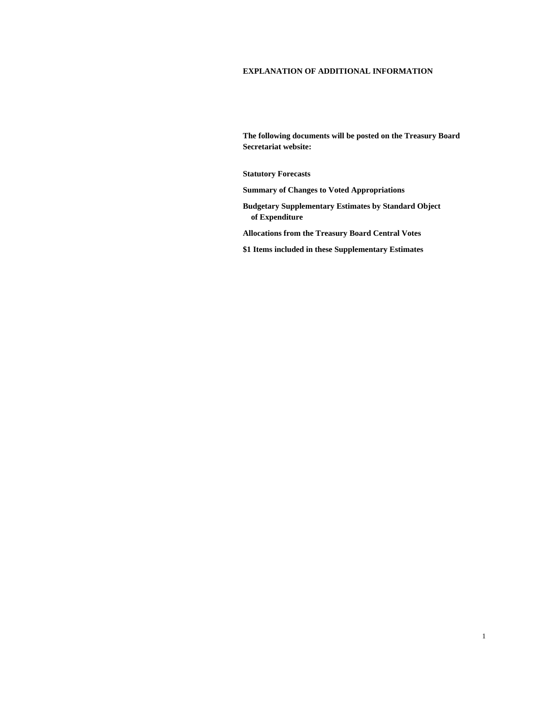# **EXPLANATION OF ADDITIONAL INFORMATION**

**The following documents will be posted on the Treasury Board Secretariat website:** 

**Statutory Forecasts** 

**Summary of Changes to Voted Appropriations** 

**Budgetary Supplementary Estimates by Standard Object of Expenditure** 

**Allocations from the Treasury Board Central Votes** 

**\$1 Items included in these Supplementary Estimates**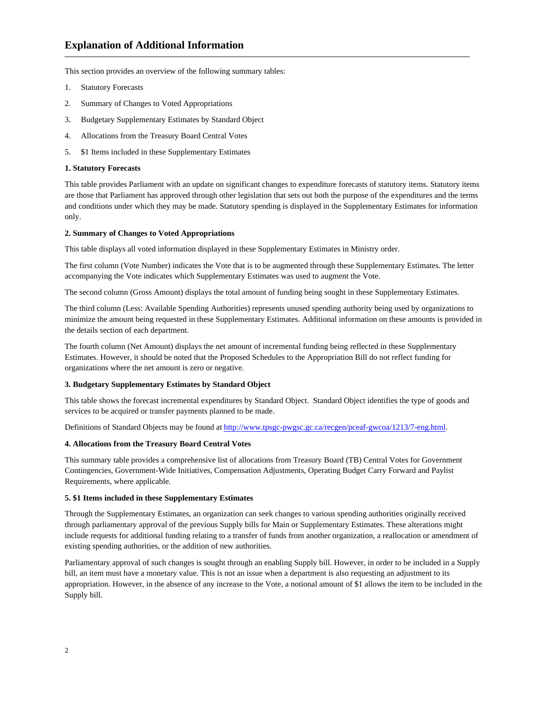This section provides an overview of the following summary tables:

- 1. Statutory Forecasts
- 2. Summary of Changes to Voted Appropriations
- 3. Budgetary Supplementary Estimates by Standard Object
- 4. Allocations from the Treasury Board Central Votes
- 5. \$1 Items included in these Supplementary Estimates

#### **1. Statutory Forecasts**

This table provides Parliament with an update on significant changes to expenditure forecasts of statutory items. Statutory items are those that Parliament has approved through other legislation that sets out both the purpose of the expenditures and the terms and conditions under which they may be made. Statutory spending is displayed in the Supplementary Estimates for information only.

# **2. Summary of Changes to Voted Appropriations**

This table displays all voted information displayed in these Supplementary Estimates in Ministry order.

The first column (Vote Number) indicates the Vote that is to be augmented through these Supplementary Estimates. The letter accompanying the Vote indicates which Supplementary Estimates was used to augment the Vote.

The second column (Gross Amount) displays the total amount of funding being sought in these Supplementary Estimates.

The third column (Less: Available Spending Authorities) represents unused spending authority being used by organizations to minimize the amount being requested in these Supplementary Estimates. Additional information on these amounts is provided in the details section of each department.

The fourth column (Net Amount) displays the net amount of incremental funding being reflected in these Supplementary Estimates. However, it should be noted that the Proposed Schedules to the Appropriation Bill do not reflect funding for organizations where the net amount is zero or negative.

## **3. Budgetary Supplementary Estimates by Standard Object**

This table shows the forecast incremental expenditures by Standard Object. Standard Object identifies the type of goods and services to be acquired or transfer payments planned to be made.

Definitions of Standard Objects may be found at http://www.tpsgc-pwgsc.gc.ca/recgen/pceaf-gwcoa/1213/7-eng.html.

### **4. Allocations from the Treasury Board Central Votes**

This summary table provides a comprehensive list of allocations from Treasury Board (TB) Central Votes for Government Contingencies, Government-Wide Initiatives, Compensation Adjustments, Operating Budget Carry Forward and Paylist Requirements, where applicable.

### **5. \$1 Items included in these Supplementary Estimates**

Through the Supplementary Estimates, an organization can seek changes to various spending authorities originally received through parliamentary approval of the previous Supply bills for Main or Supplementary Estimates. These alterations might include requests for additional funding relating to a transfer of funds from another organization, a reallocation or amendment of existing spending authorities, or the addition of new authorities.

Parliamentary approval of such changes is sought through an enabling Supply bill. However, in order to be included in a Supply bill, an item must have a monetary value. This is not an issue when a department is also requesting an adjustment to its appropriation. However, in the absence of any increase to the Vote, a notional amount of \$1 allows the item to be included in the Supply bill.